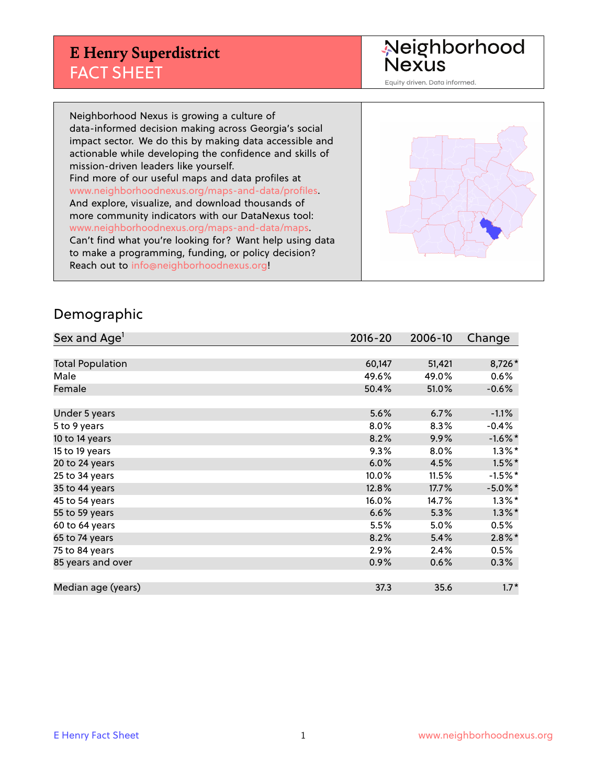## **E Henry Superdistrict** FACT SHEET

Neighborhood<br>Nexus

Equity driven. Data informed.

Neighborhood Nexus is growing a culture of data-informed decision making across Georgia's social impact sector. We do this by making data accessible and actionable while developing the confidence and skills of mission-driven leaders like yourself. Find more of our useful maps and data profiles at www.neighborhoodnexus.org/maps-and-data/profiles. And explore, visualize, and download thousands of more community indicators with our DataNexus tool: www.neighborhoodnexus.org/maps-and-data/maps. Can't find what you're looking for? Want help using data to make a programming, funding, or policy decision? Reach out to [info@neighborhoodnexus.org!](mailto:info@neighborhoodnexus.org)



#### Demographic

| Sex and Age <sup>1</sup> | $2016 - 20$ | 2006-10 | Change     |
|--------------------------|-------------|---------|------------|
|                          |             |         |            |
| <b>Total Population</b>  | 60,147      | 51,421  | 8,726*     |
| Male                     | 49.6%       | 49.0%   | 0.6%       |
| Female                   | 50.4%       | 51.0%   | $-0.6%$    |
|                          |             |         |            |
| Under 5 years            | 5.6%        | 6.7%    | $-1.1\%$   |
| 5 to 9 years             | 8.0%        | 8.3%    | $-0.4%$    |
| 10 to 14 years           | 8.2%        | 9.9%    | $-1.6\%$ * |
| 15 to 19 years           | 9.3%        | $8.0\%$ | $1.3\%$ *  |
| 20 to 24 years           | 6.0%        | 4.5%    | $1.5\%$ *  |
| 25 to 34 years           | 10.0%       | 11.5%   | $-1.5%$ *  |
| 35 to 44 years           | 12.8%       | 17.7%   | $-5.0\%$ * |
| 45 to 54 years           | 16.0%       | 14.7%   | $1.3\%$ *  |
| 55 to 59 years           | 6.6%        | 5.3%    | $1.3\%$ *  |
| 60 to 64 years           | 5.5%        | 5.0%    | 0.5%       |
| 65 to 74 years           | 8.2%        | 5.4%    | $2.8\%$ *  |
| 75 to 84 years           | 2.9%        | 2.4%    | 0.5%       |
| 85 years and over        | 0.9%        | 0.6%    | 0.3%       |
|                          |             |         |            |
| Median age (years)       | 37.3        | 35.6    | $1.7*$     |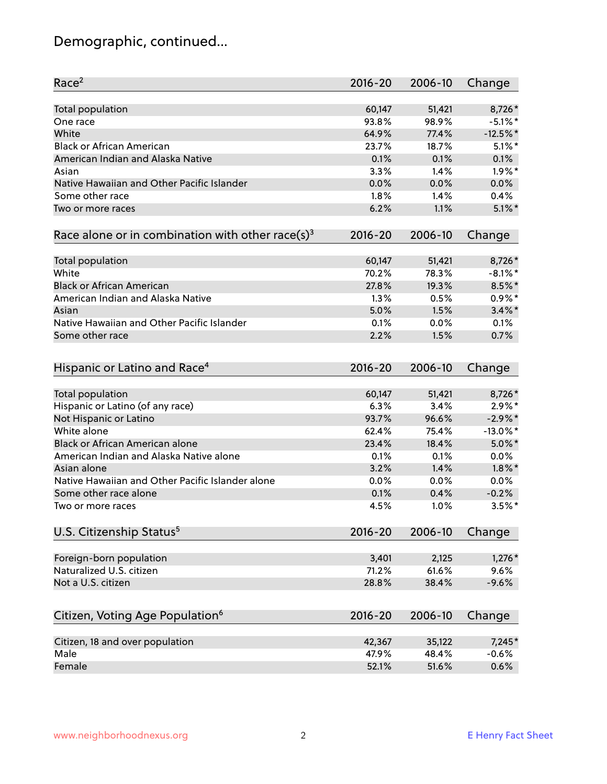# Demographic, continued...

| Race <sup>2</sup>                                            | $2016 - 20$ | 2006-10 | Change      |
|--------------------------------------------------------------|-------------|---------|-------------|
| <b>Total population</b>                                      | 60,147      | 51,421  | 8,726*      |
| One race                                                     | 93.8%       | 98.9%   | $-5.1\%$ *  |
| White                                                        | 64.9%       | 77.4%   | $-12.5%$ *  |
| <b>Black or African American</b>                             | 23.7%       | 18.7%   | $5.1\%$ *   |
| American Indian and Alaska Native                            | 0.1%        | 0.1%    | 0.1%        |
| Asian                                                        | 3.3%        | 1.4%    | $1.9\%$ *   |
| Native Hawaiian and Other Pacific Islander                   | 0.0%        | 0.0%    | 0.0%        |
| Some other race                                              | 1.8%        | 1.4%    | 0.4%        |
| Two or more races                                            | 6.2%        | 1.1%    | $5.1\%$ *   |
|                                                              |             |         |             |
| Race alone or in combination with other race(s) <sup>3</sup> | $2016 - 20$ | 2006-10 | Change      |
| Total population                                             | 60,147      | 51,421  | 8,726*      |
| White                                                        | 70.2%       | 78.3%   | $-8.1\%$ *  |
| <b>Black or African American</b>                             | 27.8%       | 19.3%   | 8.5%*       |
| American Indian and Alaska Native                            | 1.3%        | 0.5%    | $0.9\%*$    |
| Asian                                                        | 5.0%        | 1.5%    | $3.4\%$ *   |
| Native Hawaiian and Other Pacific Islander                   | 0.1%        | 0.0%    | 0.1%        |
| Some other race                                              | 2.2%        | 1.5%    | 0.7%        |
|                                                              |             |         |             |
| Hispanic or Latino and Race <sup>4</sup>                     | $2016 - 20$ | 2006-10 | Change      |
| <b>Total population</b>                                      | 60,147      | 51,421  | 8,726*      |
| Hispanic or Latino (of any race)                             | 6.3%        | 3.4%    | $2.9\%*$    |
| Not Hispanic or Latino                                       | 93.7%       | 96.6%   | $-2.9\%$ *  |
| White alone                                                  | 62.4%       | 75.4%   | $-13.0\%$ * |
| Black or African American alone                              | 23.4%       | 18.4%   | $5.0\%$ *   |
| American Indian and Alaska Native alone                      | 0.1%        | 0.1%    | 0.0%        |
| Asian alone                                                  | 3.2%        | 1.4%    | $1.8\%$ *   |
| Native Hawaiian and Other Pacific Islander alone             | 0.0%        | 0.0%    | 0.0%        |
| Some other race alone                                        | 0.1%        | 0.4%    | $-0.2%$     |
| Two or more races                                            | 4.5%        | 1.0%    | $3.5%$ *    |
|                                                              |             |         |             |
| U.S. Citizenship Status <sup>5</sup>                         | $2016 - 20$ | 2006-10 | Change      |
| Foreign-born population                                      | 3,401       | 2,125   | $1,276*$    |
| Naturalized U.S. citizen                                     | 71.2%       | 61.6%   | 9.6%        |
| Not a U.S. citizen                                           | 28.8%       | 38.4%   | $-9.6%$     |
|                                                              |             |         |             |
| Citizen, Voting Age Population <sup>6</sup>                  | $2016 - 20$ | 2006-10 | Change      |
| Citizen, 18 and over population                              | 42,367      | 35,122  | $7,245*$    |
| Male                                                         | 47.9%       | 48.4%   | $-0.6%$     |
| Female                                                       | 52.1%       | 51.6%   | 0.6%        |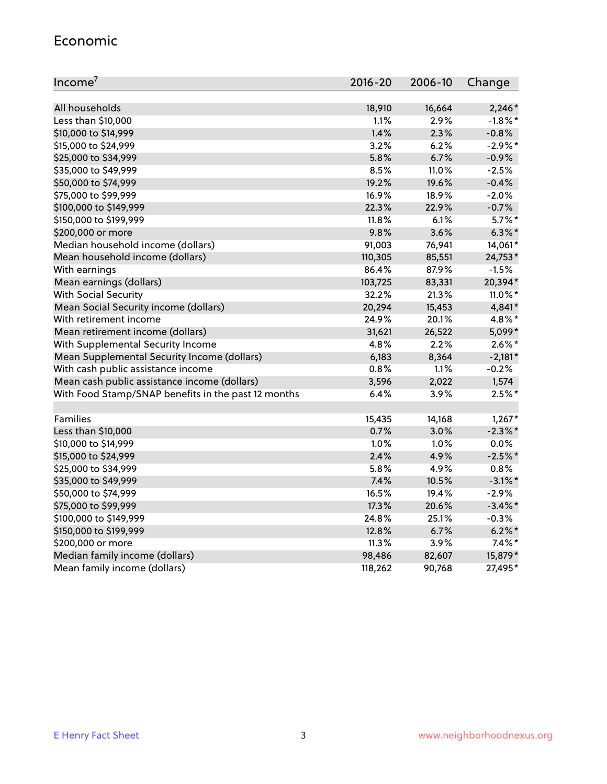#### Economic

| Income <sup>7</sup>                                 | 2016-20 | 2006-10 | Change     |
|-----------------------------------------------------|---------|---------|------------|
|                                                     |         |         |            |
| All households                                      | 18,910  | 16,664  | $2,246*$   |
| Less than \$10,000                                  | 1.1%    | 2.9%    | $-1.8\%$ * |
| \$10,000 to \$14,999                                | 1.4%    | 2.3%    | $-0.8%$    |
| \$15,000 to \$24,999                                | 3.2%    | 6.2%    | $-2.9\%$ * |
| \$25,000 to \$34,999                                | 5.8%    | 6.7%    | $-0.9%$    |
| \$35,000 to \$49,999                                | 8.5%    | 11.0%   | $-2.5%$    |
| \$50,000 to \$74,999                                | 19.2%   | 19.6%   | $-0.4%$    |
| \$75,000 to \$99,999                                | 16.9%   | 18.9%   | $-2.0%$    |
| \$100,000 to \$149,999                              | 22.3%   | 22.9%   | $-0.7%$    |
| \$150,000 to \$199,999                              | 11.8%   | 6.1%    | $5.7\%$ *  |
| \$200,000 or more                                   | 9.8%    | 3.6%    | $6.3\%$ *  |
| Median household income (dollars)                   | 91,003  | 76,941  | 14,061*    |
| Mean household income (dollars)                     | 110,305 | 85,551  | 24,753*    |
| With earnings                                       | 86.4%   | 87.9%   | $-1.5%$    |
| Mean earnings (dollars)                             | 103,725 | 83,331  | 20,394*    |
| <b>With Social Security</b>                         | 32.2%   | 21.3%   | 11.0%*     |
| Mean Social Security income (dollars)               | 20,294  | 15,453  | 4,841*     |
| With retirement income                              | 24.9%   | 20.1%   | 4.8%*      |
| Mean retirement income (dollars)                    | 31,621  | 26,522  | 5,099*     |
| With Supplemental Security Income                   | 4.8%    | 2.2%    | $2.6\%$ *  |
| Mean Supplemental Security Income (dollars)         | 6,183   | 8,364   | $-2,181*$  |
| With cash public assistance income                  | 0.8%    | 1.1%    | $-0.2%$    |
| Mean cash public assistance income (dollars)        | 3,596   | 2,022   | 1,574      |
| With Food Stamp/SNAP benefits in the past 12 months | 6.4%    | 3.9%    | $2.5%$ *   |
|                                                     |         |         |            |
| Families                                            | 15,435  | 14,168  | $1,267*$   |
| Less than \$10,000                                  | 0.7%    | 3.0%    | $-2.3\%$ * |
| \$10,000 to \$14,999                                | 1.0%    | 1.0%    | 0.0%       |
| \$15,000 to \$24,999                                | 2.4%    | 4.9%    | $-2.5%$ *  |
| \$25,000 to \$34,999                                | 5.8%    | 4.9%    | 0.8%       |
| \$35,000 to \$49,999                                | 7.4%    | 10.5%   | $-3.1\%$ * |
| \$50,000 to \$74,999                                | 16.5%   | 19.4%   | $-2.9%$    |
| \$75,000 to \$99,999                                | 17.3%   | 20.6%   | $-3.4\%$ * |
| \$100,000 to \$149,999                              | 24.8%   | 25.1%   | $-0.3%$    |
| \$150,000 to \$199,999                              | 12.8%   | 6.7%    | $6.2\%$ *  |
| \$200,000 or more                                   | 11.3%   | 3.9%    | $7.4\%$ *  |
| Median family income (dollars)                      | 98,486  | 82,607  | 15,879*    |
| Mean family income (dollars)                        | 118,262 | 90,768  | 27,495*    |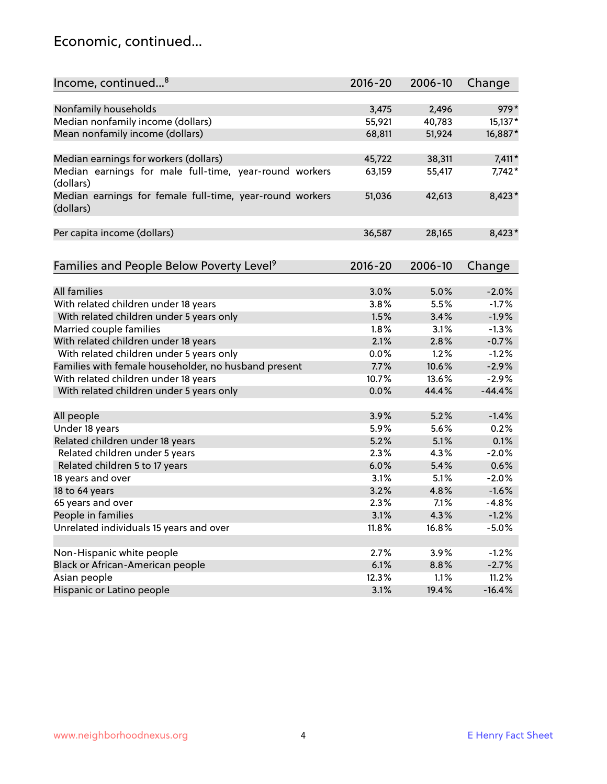#### Economic, continued...

| Income, continued <sup>8</sup>                                        | $2016 - 20$ | 2006-10 | Change   |
|-----------------------------------------------------------------------|-------------|---------|----------|
|                                                                       |             |         |          |
| Nonfamily households                                                  | 3,475       | 2,496   | 979*     |
| Median nonfamily income (dollars)                                     | 55,921      | 40,783  | 15,137*  |
| Mean nonfamily income (dollars)                                       | 68,811      | 51,924  | 16,887*  |
| Median earnings for workers (dollars)                                 | 45,722      | 38,311  | $7,411*$ |
| Median earnings for male full-time, year-round workers                | 63,159      | 55,417  | 7,742*   |
| (dollars)                                                             |             |         |          |
| Median earnings for female full-time, year-round workers<br>(dollars) | 51,036      | 42,613  | 8,423*   |
| Per capita income (dollars)                                           | 36,587      | 28,165  | $8,423*$ |
|                                                                       |             |         |          |
| Families and People Below Poverty Level <sup>9</sup>                  | $2016 - 20$ | 2006-10 | Change   |
|                                                                       |             |         |          |
| <b>All families</b>                                                   | 3.0%        | 5.0%    | $-2.0%$  |
| With related children under 18 years                                  | 3.8%        | 5.5%    | $-1.7%$  |
| With related children under 5 years only                              | 1.5%        | 3.4%    | $-1.9%$  |
| Married couple families                                               | 1.8%        | 3.1%    | $-1.3%$  |
| With related children under 18 years                                  | 2.1%        | 2.8%    | $-0.7%$  |
| With related children under 5 years only                              | 0.0%        | 1.2%    | $-1.2%$  |
| Families with female householder, no husband present                  | 7.7%        | 10.6%   | $-2.9%$  |
| With related children under 18 years                                  | 10.7%       | 13.6%   | $-2.9%$  |
| With related children under 5 years only                              | 0.0%        | 44.4%   | $-44.4%$ |
| All people                                                            | 3.9%        | 5.2%    | $-1.4%$  |
| Under 18 years                                                        | 5.9%        | 5.6%    | 0.2%     |
| Related children under 18 years                                       | 5.2%        | 5.1%    | 0.1%     |
| Related children under 5 years                                        | 2.3%        | 4.3%    | $-2.0%$  |
| Related children 5 to 17 years                                        | 6.0%        | 5.4%    | 0.6%     |
| 18 years and over                                                     | 3.1%        | 5.1%    | $-2.0%$  |
| 18 to 64 years                                                        | 3.2%        | 4.8%    | $-1.6%$  |
| 65 years and over                                                     | 2.3%        | 7.1%    | $-4.8%$  |
| People in families                                                    | 3.1%        | 4.3%    | $-1.2%$  |
| Unrelated individuals 15 years and over                               | 11.8%       | 16.8%   | $-5.0%$  |
|                                                                       |             |         |          |
| Non-Hispanic white people                                             | 2.7%        | 3.9%    | $-1.2%$  |
| Black or African-American people                                      | 6.1%        | 8.8%    | $-2.7%$  |
| Asian people                                                          | 12.3%       | 1.1%    | 11.2%    |
| Hispanic or Latino people                                             | 3.1%        | 19.4%   | $-16.4%$ |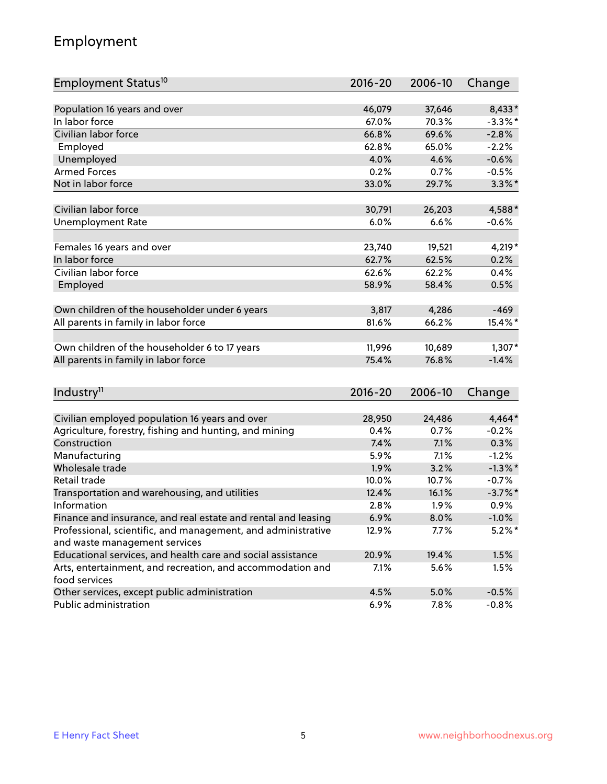## Employment

| Employment Status <sup>10</sup>                                                               | $2016 - 20$   | 2006-10      | Change                |
|-----------------------------------------------------------------------------------------------|---------------|--------------|-----------------------|
|                                                                                               |               |              |                       |
| Population 16 years and over                                                                  | 46,079        | 37,646       | 8,433*                |
| In labor force                                                                                | 67.0%         | 70.3%        | $-3.3\%$ *            |
| Civilian labor force                                                                          | 66.8%         | 69.6%        | $-2.8%$               |
| Employed                                                                                      | 62.8%         | 65.0%        | $-2.2%$               |
| Unemployed                                                                                    | 4.0%          | 4.6%         | $-0.6%$               |
| <b>Armed Forces</b>                                                                           | 0.2%          | 0.7%         | $-0.5%$               |
| Not in labor force                                                                            | 33.0%         | 29.7%        | $3.3\%$ *             |
| Civilian labor force                                                                          | 30,791        | 26,203       | 4,588*                |
| <b>Unemployment Rate</b>                                                                      | 6.0%          | 6.6%         | $-0.6%$               |
|                                                                                               |               |              |                       |
| Females 16 years and over                                                                     | 23,740        | 19,521       | 4,219*                |
| In labor force                                                                                | 62.7%         | 62.5%        | 0.2%                  |
| Civilian labor force                                                                          | 62.6%         | 62.2%        | 0.4%                  |
| Employed                                                                                      | 58.9%         | 58.4%        | 0.5%                  |
| Own children of the householder under 6 years                                                 | 3,817         | 4,286        | $-469$                |
| All parents in family in labor force                                                          | 81.6%         | 66.2%        | 15.4%*                |
|                                                                                               |               |              |                       |
| Own children of the householder 6 to 17 years                                                 | 11,996        | 10,689       | $1,307*$              |
| All parents in family in labor force                                                          | 75.4%         | 76.8%        | $-1.4%$               |
|                                                                                               |               |              |                       |
| Industry <sup>11</sup>                                                                        | $2016 - 20$   | 2006-10      | Change                |
| Civilian employed population 16 years and over                                                | 28,950        | 24,486       | 4,464*                |
|                                                                                               | 0.4%          |              |                       |
| Agriculture, forestry, fishing and hunting, and mining<br>Construction                        | 7.4%          | 0.7%<br>7.1% | $-0.2%$<br>0.3%       |
|                                                                                               |               | 7.1%         |                       |
| Manufacturing<br>Wholesale trade                                                              | 5.9%          |              | $-1.2%$<br>$-1.3\%$ * |
|                                                                                               | 1.9%<br>10.0% | 3.2%         |                       |
| Retail trade                                                                                  | 12.4%         | 10.7%        | $-0.7%$<br>$-3.7%$ *  |
| Transportation and warehousing, and utilities<br>Information                                  |               | 16.1%        |                       |
|                                                                                               | 2.8%          | 1.9%         | 0.9%                  |
| Finance and insurance, and real estate and rental and leasing                                 | 6.9%          | 8.0%         | $-1.0\%$              |
| Professional, scientific, and management, and administrative<br>and waste management services | 12.9%         | 7.7%         | $5.2\%$ *             |
| Educational services, and health care and social assistance                                   | 20.9%         | 19.4%        | 1.5%                  |
| Arts, entertainment, and recreation, and accommodation and                                    | 7.1%          | 5.6%         | 1.5%                  |
| food services                                                                                 |               |              |                       |
| Other services, except public administration                                                  | 4.5%          | 5.0%         | $-0.5%$               |
| Public administration                                                                         | 6.9%          | 7.8%         | $-0.8%$               |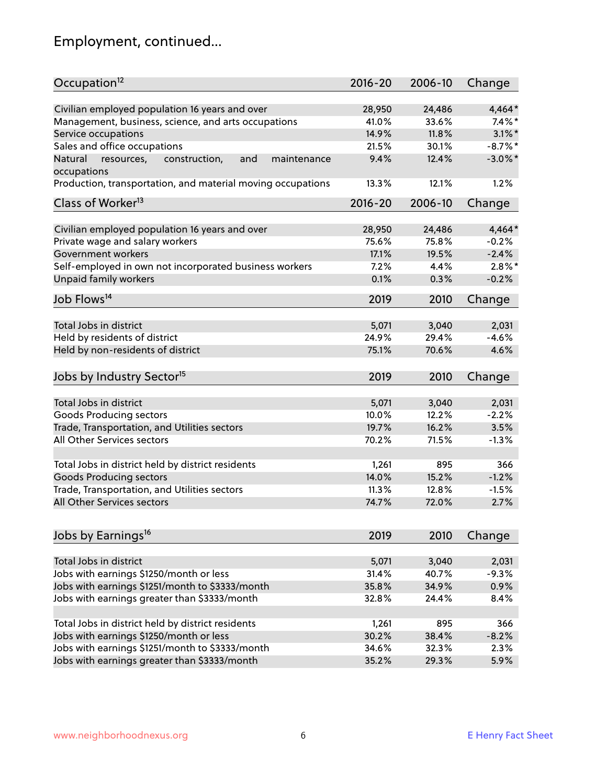# Employment, continued...

| Occupation <sup>12</sup>                                     | $2016 - 20$ | 2006-10 | Change     |
|--------------------------------------------------------------|-------------|---------|------------|
| Civilian employed population 16 years and over               | 28,950      | 24,486  | 4,464*     |
| Management, business, science, and arts occupations          | 41.0%       | 33.6%   | $7.4\%$ *  |
| Service occupations                                          | 14.9%       | 11.8%   | $3.1\%$ *  |
| Sales and office occupations                                 | 21.5%       | 30.1%   | $-8.7\%$ * |
| Natural<br>and<br>resources,<br>construction,<br>maintenance | 9.4%        | 12.4%   | $-3.0\%$ * |
| occupations                                                  |             |         |            |
| Production, transportation, and material moving occupations  | 13.3%       | 12.1%   | 1.2%       |
| Class of Worker <sup>13</sup>                                | $2016 - 20$ | 2006-10 | Change     |
|                                                              |             |         |            |
| Civilian employed population 16 years and over               | 28,950      | 24,486  | $4,464*$   |
| Private wage and salary workers                              | 75.6%       | 75.8%   | $-0.2%$    |
| Government workers                                           | 17.1%       | 19.5%   | $-2.4%$    |
| Self-employed in own not incorporated business workers       | 7.2%        | 4.4%    | $2.8\%$ *  |
| Unpaid family workers                                        | 0.1%        | 0.3%    | $-0.2%$    |
| Job Flows <sup>14</sup>                                      | 2019        | 2010    | Change     |
|                                                              |             |         |            |
| Total Jobs in district                                       | 5,071       | 3,040   | 2,031      |
| Held by residents of district                                | 24.9%       | 29.4%   | $-4.6%$    |
| Held by non-residents of district                            | 75.1%       | 70.6%   | 4.6%       |
| Jobs by Industry Sector <sup>15</sup>                        | 2019        | 2010    | Change     |
|                                                              |             |         |            |
| Total Jobs in district                                       | 5,071       | 3,040   | 2,031      |
| Goods Producing sectors                                      | 10.0%       | 12.2%   | $-2.2%$    |
| Trade, Transportation, and Utilities sectors                 | 19.7%       | 16.2%   | 3.5%       |
| All Other Services sectors                                   | 70.2%       | 71.5%   | $-1.3%$    |
| Total Jobs in district held by district residents            | 1,261       | 895     | 366        |
| <b>Goods Producing sectors</b>                               | 14.0%       | 15.2%   | $-1.2%$    |
|                                                              | 11.3%       |         |            |
| Trade, Transportation, and Utilities sectors                 |             | 12.8%   | $-1.5%$    |
| All Other Services sectors                                   | 74.7%       | 72.0%   | 2.7%       |
| Jobs by Earnings <sup>16</sup>                               | 2019        | 2010    | Change     |
|                                                              |             |         |            |
| Total Jobs in district                                       | 5,071       | 3,040   | 2,031      |
| Jobs with earnings \$1250/month or less                      | 31.4%       | 40.7%   | $-9.3%$    |
| Jobs with earnings \$1251/month to \$3333/month              | 35.8%       | 34.9%   | 0.9%       |
| Jobs with earnings greater than \$3333/month                 | 32.8%       | 24.4%   | 8.4%       |
|                                                              |             |         |            |
| Total Jobs in district held by district residents            | 1,261       | 895     | 366        |
| Jobs with earnings \$1250/month or less                      | 30.2%       | 38.4%   | $-8.2%$    |
| Jobs with earnings \$1251/month to \$3333/month              | 34.6%       | 32.3%   | 2.3%       |
| Jobs with earnings greater than \$3333/month                 | 35.2%       | 29.3%   | 5.9%       |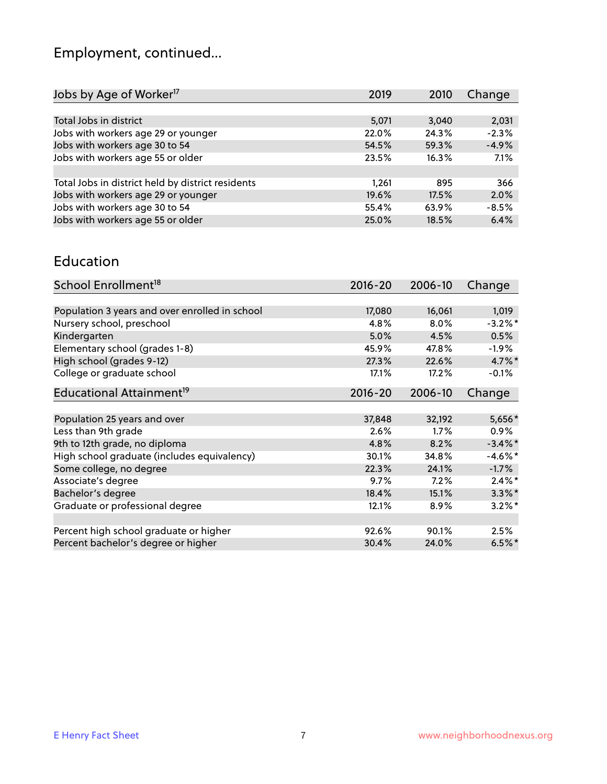# Employment, continued...

| Change  |
|---------|
|         |
| 2,031   |
| $-2.3%$ |
| $-4.9%$ |
| 7.1%    |
|         |
| 366     |
| 2.0%    |
| $-8.5%$ |
| 6.4%    |
|         |

#### Education

| School Enrollment <sup>18</sup>                | $2016 - 20$ | 2006-10 | Change     |
|------------------------------------------------|-------------|---------|------------|
|                                                |             |         |            |
| Population 3 years and over enrolled in school | 17,080      | 16,061  | 1,019      |
| Nursery school, preschool                      | 4.8%        | $8.0\%$ | $-3.2\%$ * |
| Kindergarten                                   | 5.0%        | 4.5%    | 0.5%       |
| Elementary school (grades 1-8)                 | 45.9%       | 47.8%   | $-1.9%$    |
| High school (grades 9-12)                      | 27.3%       | 22.6%   | $4.7\%$ *  |
| College or graduate school                     | 17.1%       | 17.2%   | $-0.1%$    |
| Educational Attainment <sup>19</sup>           | $2016 - 20$ | 2006-10 | Change     |
|                                                |             |         |            |
| Population 25 years and over                   | 37,848      | 32,192  | 5,656*     |
| Less than 9th grade                            | 2.6%        | $1.7\%$ | $0.9\%$    |
| 9th to 12th grade, no diploma                  | 4.8%        | 8.2%    | $-3.4\%$ * |
| High school graduate (includes equivalency)    | 30.1%       | 34.8%   | $-4.6\%$ * |
| Some college, no degree                        | 22.3%       | 24.1%   | $-1.7%$    |
| Associate's degree                             | 9.7%        | 7.2%    | $2.4\%$ *  |
| Bachelor's degree                              | 18.4%       | 15.1%   | $3.3\%$ *  |
| Graduate or professional degree                | 12.1%       | 8.9%    | $3.2\%$ *  |
|                                                |             |         |            |
| Percent high school graduate or higher         | 92.6%       | 90.1%   | 2.5%       |
| Percent bachelor's degree or higher            | 30.4%       | 24.0%   | $6.5%$ *   |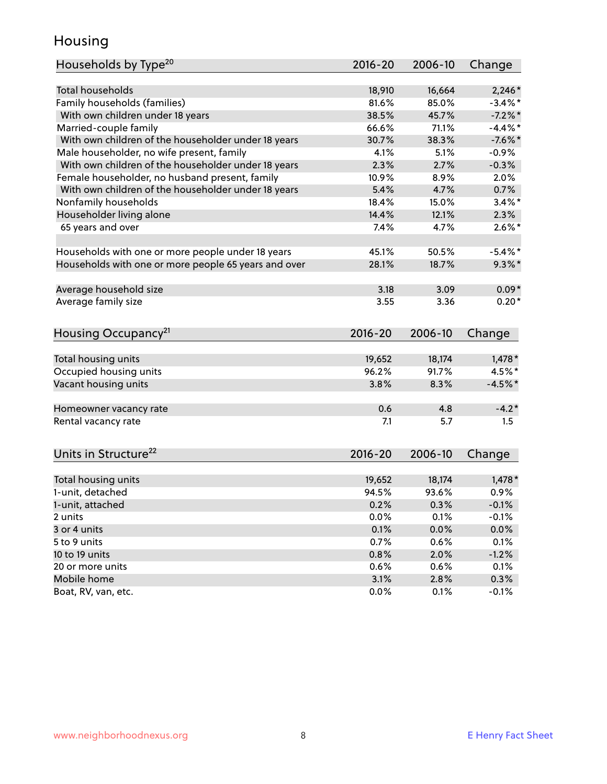## Housing

| Households by Type <sup>20</sup>                     | $2016 - 20$  | 2006-10      | Change             |
|------------------------------------------------------|--------------|--------------|--------------------|
|                                                      |              |              |                    |
| <b>Total households</b>                              | 18,910       | 16,664       | $2,246*$           |
| Family households (families)                         | 81.6%        | 85.0%        | $-3.4\%$ *         |
| With own children under 18 years                     | 38.5%        | 45.7%        | $-7.2\%$ *         |
| Married-couple family                                | 66.6%        | 71.1%        | $-4.4\%$ *         |
| With own children of the householder under 18 years  | 30.7%        | 38.3%        | $-7.6%$ *          |
| Male householder, no wife present, family            | 4.1%         | 5.1%         | $-0.9%$            |
| With own children of the householder under 18 years  | 2.3%         | 2.7%         | $-0.3%$            |
| Female householder, no husband present, family       | 10.9%        | 8.9%         | 2.0%               |
| With own children of the householder under 18 years  | 5.4%         | 4.7%         | 0.7%               |
| Nonfamily households                                 | 18.4%        | 15.0%        | $3.4\%$ *          |
| Householder living alone                             | 14.4%        | 12.1%        | 2.3%               |
| 65 years and over                                    | 7.4%         | 4.7%         | $2.6\%$ *          |
|                                                      |              |              |                    |
| Households with one or more people under 18 years    | 45.1%        | 50.5%        | $-5.4\%$ *         |
| Households with one or more people 65 years and over | 28.1%        | 18.7%        | $9.3\%$ *          |
| Average household size                               | 3.18         | 3.09         | $0.09*$            |
| Average family size                                  | 3.55         | 3.36         | $0.20*$            |
|                                                      |              |              |                    |
| Housing Occupancy <sup>21</sup>                      | $2016 - 20$  | 2006-10      | Change             |
| Total housing units                                  | 19,652       | 18,174       | $1,478*$           |
| Occupied housing units                               | 96.2%        | 91.7%        | 4.5%*              |
| Vacant housing units                                 | 3.8%         | 8.3%         | $-4.5%$ *          |
|                                                      |              |              |                    |
| Homeowner vacancy rate                               | 0.6          | 4.8          | $-4.2*$            |
| Rental vacancy rate                                  | 7.1          | 5.7          | 1.5                |
|                                                      |              |              |                    |
| Units in Structure <sup>22</sup>                     | $2016 - 20$  | 2006-10      | Change             |
| Total housing units                                  | 19,652       | 18,174       | $1,478*$           |
| 1-unit, detached                                     | 94.5%        | 93.6%        | 0.9%               |
|                                                      |              |              |                    |
| 1-unit, attached<br>2 units                          | 0.2%<br>0.0% | 0.3%<br>0.1% | $-0.1%$<br>$-0.1%$ |
| 3 or 4 units                                         |              | 0.0%         |                    |
| 5 to 9 units                                         | 0.1%         |              | 0.0%               |
|                                                      | 0.7%         | 0.6%         | 0.1%               |
| 10 to 19 units                                       | 0.8%         | 2.0%         | $-1.2%$            |
| 20 or more units                                     | 0.6%         | 0.6%         | 0.1%               |
| Mobile home                                          | 3.1%         | 2.8%         | 0.3%               |
| Boat, RV, van, etc.                                  | 0.0%         | 0.1%         | $-0.1%$            |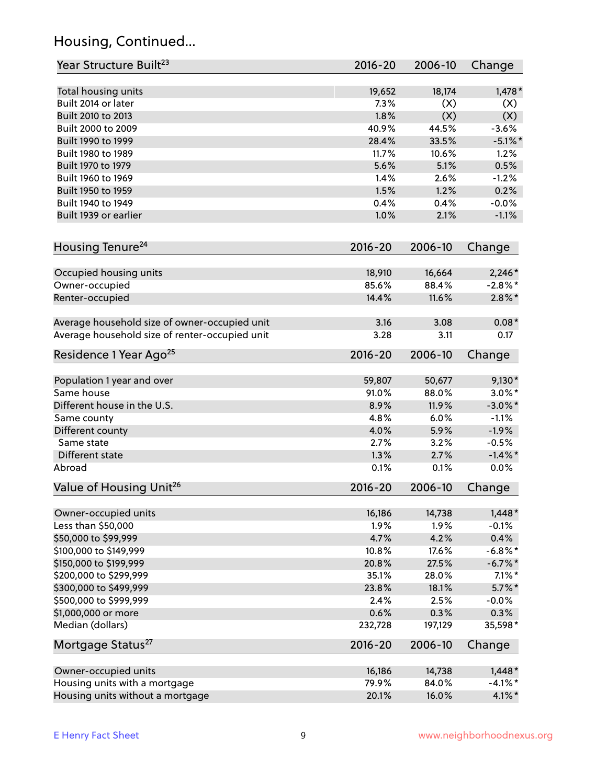## Housing, Continued...

| Year Structure Built <sup>23</sup>             | 2016-20     | 2006-10 | Change     |
|------------------------------------------------|-------------|---------|------------|
| Total housing units                            | 19,652      | 18,174  | $1,478*$   |
| Built 2014 or later                            | 7.3%        | (X)     | (X)        |
| Built 2010 to 2013                             | 1.8%        | (X)     | (X)        |
| Built 2000 to 2009                             | 40.9%       | 44.5%   | $-3.6%$    |
| Built 1990 to 1999                             | 28.4%       | 33.5%   | $-5.1\%$ * |
| Built 1980 to 1989                             | 11.7%       | 10.6%   | 1.2%       |
| Built 1970 to 1979                             | 5.6%        | 5.1%    | 0.5%       |
| Built 1960 to 1969                             | 1.4%        | 2.6%    | $-1.2%$    |
| Built 1950 to 1959                             | 1.5%        | 1.2%    | 0.2%       |
| Built 1940 to 1949                             | 0.4%        | 0.4%    | $-0.0%$    |
| Built 1939 or earlier                          | 1.0%        | 2.1%    | $-1.1%$    |
| Housing Tenure <sup>24</sup>                   | $2016 - 20$ | 2006-10 | Change     |
| Occupied housing units                         | 18,910      | 16,664  | $2,246*$   |
| Owner-occupied                                 | 85.6%       | 88.4%   | $-2.8\%$ * |
| Renter-occupied                                | 14.4%       | 11.6%   | $2.8\%$ *  |
|                                                |             |         |            |
| Average household size of owner-occupied unit  | 3.16        | 3.08    | $0.08*$    |
| Average household size of renter-occupied unit | 3.28        | 3.11    | 0.17       |
| Residence 1 Year Ago <sup>25</sup>             | $2016 - 20$ | 2006-10 | Change     |
|                                                |             |         |            |
| Population 1 year and over                     | 59,807      | 50,677  | $9,130*$   |
| Same house                                     | 91.0%       | 88.0%   | $3.0\%$ *  |
| Different house in the U.S.                    | 8.9%        | 11.9%   | $-3.0\%$ * |
| Same county                                    | 4.8%        | 6.0%    | $-1.1%$    |
| Different county                               | 4.0%        | 5.9%    | $-1.9%$    |
| Same state                                     | 2.7%        | 3.2%    | $-0.5%$    |
| Different state                                | 1.3%        | 2.7%    | $-1.4\%$ * |
| Abroad                                         | 0.1%        | 0.1%    | 0.0%       |
| Value of Housing Unit <sup>26</sup>            | $2016 - 20$ | 2006-10 | Change     |
| Owner-occupied units                           | 16,186      | 14,738  | $1,448*$   |
| Less than \$50,000                             | 1.9%        | 1.9%    | $-0.1%$    |
| \$50,000 to \$99,999                           | 4.7%        | 4.2%    | 0.4%       |
| \$100,000 to \$149,999                         | 10.8%       | 17.6%   | $-6.8\%$ * |
| \$150,000 to \$199,999                         | 20.8%       | 27.5%   | $-6.7\%$ * |
| \$200,000 to \$299,999                         | 35.1%       | 28.0%   | $7.1\%$ *  |
| \$300,000 to \$499,999                         | 23.8%       | 18.1%   | $5.7\%$ *  |
| \$500,000 to \$999,999                         | 2.4%        | 2.5%    | $-0.0%$    |
| \$1,000,000 or more                            | 0.6%        | 0.3%    | 0.3%       |
| Median (dollars)                               | 232,728     | 197,129 | 35,598*    |
| Mortgage Status <sup>27</sup>                  | $2016 - 20$ | 2006-10 | Change     |
| Owner-occupied units                           | 16,186      | 14,738  | $1,448*$   |
| Housing units with a mortgage                  | 79.9%       | 84.0%   | $-4.1\%$ * |
| Housing units without a mortgage               | 20.1%       | 16.0%   | $4.1\%$ *  |
|                                                |             |         |            |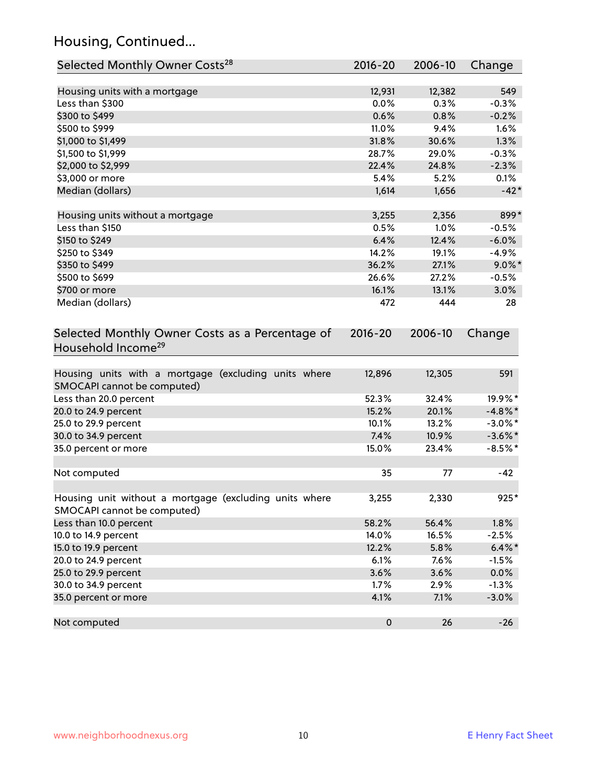## Housing, Continued...

| Selected Monthly Owner Costs <sup>28</sup>                                            | 2016-20     | 2006-10 | Change     |
|---------------------------------------------------------------------------------------|-------------|---------|------------|
| Housing units with a mortgage                                                         | 12,931      | 12,382  | 549        |
| Less than \$300                                                                       | 0.0%        | 0.3%    | $-0.3%$    |
| \$300 to \$499                                                                        | 0.6%        | 0.8%    | $-0.2%$    |
| \$500 to \$999                                                                        | 11.0%       | 9.4%    | 1.6%       |
| \$1,000 to \$1,499                                                                    | 31.8%       | 30.6%   | 1.3%       |
| \$1,500 to \$1,999                                                                    | 28.7%       | 29.0%   | $-0.3%$    |
| \$2,000 to \$2,999                                                                    | 22.4%       | 24.8%   | $-2.3%$    |
| \$3,000 or more                                                                       | 5.4%        | 5.2%    | 0.1%       |
| Median (dollars)                                                                      | 1,614       | 1,656   | $-42*$     |
|                                                                                       |             |         |            |
| Housing units without a mortgage                                                      | 3,255       | 2,356   | 899*       |
| Less than \$150                                                                       | 0.5%        | 1.0%    | $-0.5%$    |
| \$150 to \$249                                                                        | 6.4%        | 12.4%   | $-6.0%$    |
| \$250 to \$349                                                                        | 14.2%       | 19.1%   | $-4.9%$    |
| \$350 to \$499                                                                        | 36.2%       | 27.1%   | $9.0\%$ *  |
| \$500 to \$699                                                                        | 26.6%       | 27.2%   | $-0.5%$    |
| \$700 or more                                                                         | 16.1%       | 13.1%   | 3.0%       |
| Median (dollars)                                                                      | 472         | 444     | 28         |
| Selected Monthly Owner Costs as a Percentage of<br>Household Income <sup>29</sup>     | $2016 - 20$ | 2006-10 | Change     |
| Housing units with a mortgage (excluding units where<br>SMOCAPI cannot be computed)   | 12,896      | 12,305  | 591        |
| Less than 20.0 percent                                                                | 52.3%       | 32.4%   | 19.9%*     |
| 20.0 to 24.9 percent                                                                  | 15.2%       | 20.1%   | $-4.8\%$ * |
| 25.0 to 29.9 percent                                                                  | 10.1%       | 13.2%   | $-3.0\%$ * |
| 30.0 to 34.9 percent                                                                  | 7.4%        | 10.9%   | $-3.6\%$ * |
| 35.0 percent or more                                                                  | 15.0%       | 23.4%   | $-8.5%$ *  |
| Not computed                                                                          | 35          | 77      | $-42$      |
| Housing unit without a mortgage (excluding units where<br>SMOCAPI cannot be computed) | 3,255       | 2,330   | $925*$     |
| Less than 10.0 percent                                                                | 58.2%       | 56.4%   | $1.8\%$    |
| 10.0 to 14.9 percent                                                                  | 14.0%       | 16.5%   | $-2.5%$    |
| 15.0 to 19.9 percent                                                                  | 12.2%       | 5.8%    | $6.4\%*$   |
| 20.0 to 24.9 percent                                                                  | 6.1%        | 7.6%    | $-1.5%$    |
| 25.0 to 29.9 percent                                                                  | 3.6%        | 3.6%    | 0.0%       |
| 30.0 to 34.9 percent                                                                  | 1.7%        | 2.9%    | $-1.3%$    |
| 35.0 percent or more                                                                  | 4.1%        | 7.1%    | $-3.0%$    |
| Not computed                                                                          | $\pmb{0}$   | 26      | $-26$      |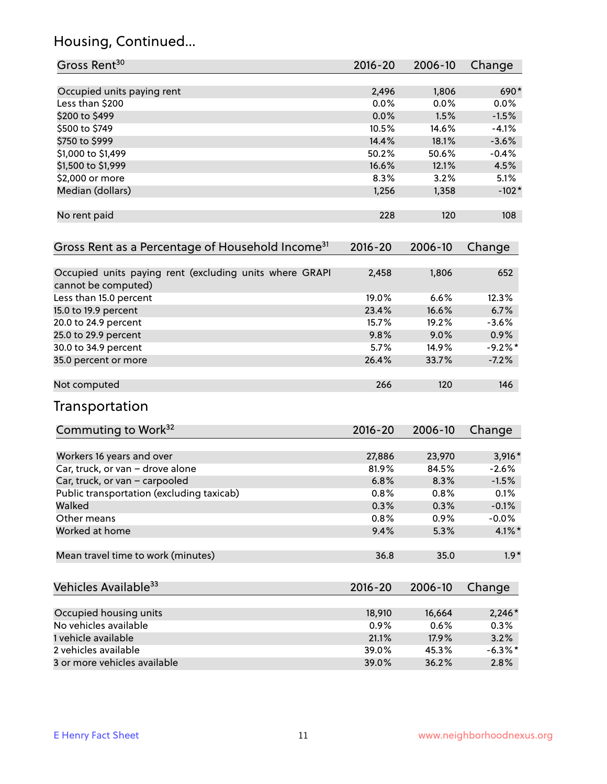## Housing, Continued...

| Gross Rent <sup>30</sup>                                                       | 2016-20     | 2006-10 | Change     |
|--------------------------------------------------------------------------------|-------------|---------|------------|
| Occupied units paying rent                                                     | 2,496       | 1,806   | 690*       |
| Less than \$200                                                                | 0.0%        | 0.0%    | $0.0\%$    |
| \$200 to \$499                                                                 | 0.0%        | 1.5%    | $-1.5%$    |
| \$500 to \$749                                                                 | 10.5%       | 14.6%   | $-4.1%$    |
| \$750 to \$999                                                                 | 14.4%       | 18.1%   | $-3.6%$    |
| \$1,000 to \$1,499                                                             | 50.2%       | 50.6%   | $-0.4%$    |
| \$1,500 to \$1,999                                                             | 16.6%       | 12.1%   | 4.5%       |
| \$2,000 or more                                                                | 8.3%        | 3.2%    | 5.1%       |
| Median (dollars)                                                               | 1,256       | 1,358   | $-102*$    |
| No rent paid                                                                   | 228         | 120     | 108        |
| Gross Rent as a Percentage of Household Income <sup>31</sup>                   | $2016 - 20$ | 2006-10 | Change     |
| Occupied units paying rent (excluding units where GRAPI<br>cannot be computed) | 2,458       | 1,806   | 652        |
| Less than 15.0 percent                                                         | 19.0%       | 6.6%    | 12.3%      |
| 15.0 to 19.9 percent                                                           | 23.4%       | 16.6%   | 6.7%       |
| 20.0 to 24.9 percent                                                           | 15.7%       | 19.2%   | $-3.6%$    |
| 25.0 to 29.9 percent                                                           | 9.8%        | 9.0%    | 0.9%       |
| 30.0 to 34.9 percent                                                           | 5.7%        | 14.9%   | $-9.2%$ *  |
| 35.0 percent or more                                                           | 26.4%       | 33.7%   | $-7.2%$    |
| Not computed                                                                   | 266         | 120     | 146        |
| Transportation                                                                 |             |         |            |
| Commuting to Work <sup>32</sup>                                                | 2016-20     | 2006-10 | Change     |
| Workers 16 years and over                                                      | 27,886      | 23,970  | 3,916*     |
| Car, truck, or van - drove alone                                               | 81.9%       | 84.5%   | $-2.6%$    |
| Car, truck, or van - carpooled                                                 | 6.8%        | 8.3%    | $-1.5%$    |
| Public transportation (excluding taxicab)                                      | 0.8%        | 0.8%    | 0.1%       |
| Walked                                                                         | 0.3%        | 0.3%    | $-0.1%$    |
| Other means                                                                    | 0.8%        | 0.9%    | $-0.0%$    |
| Worked at home                                                                 | 9.4%        | 5.3%    | $4.1\%$ *  |
| Mean travel time to work (minutes)                                             | 36.8        | 35.0    | $1.9*$     |
| Vehicles Available <sup>33</sup>                                               | $2016 - 20$ | 2006-10 | Change     |
| Occupied housing units                                                         | 18,910      | 16,664  | $2,246*$   |
| No vehicles available                                                          | 0.9%        | 0.6%    | 0.3%       |
| 1 vehicle available                                                            | 21.1%       | 17.9%   | 3.2%       |
| 2 vehicles available                                                           | 39.0%       | 45.3%   | $-6.3\%$ * |
| 3 or more vehicles available                                                   | 39.0%       | 36.2%   | 2.8%       |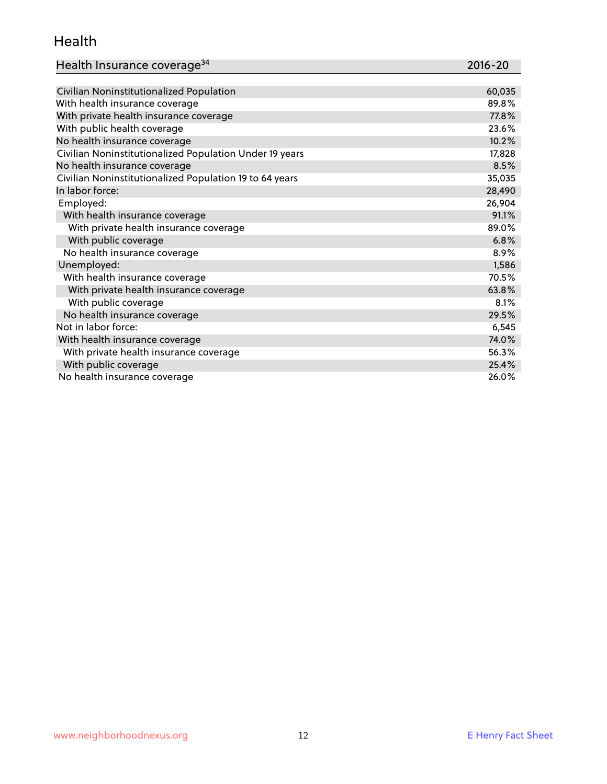#### Health

| Health Insurance coverage <sup>34</sup> | 2016-20 |
|-----------------------------------------|---------|
|-----------------------------------------|---------|

| Civilian Noninstitutionalized Population                | 60,035 |
|---------------------------------------------------------|--------|
| With health insurance coverage                          | 89.8%  |
| With private health insurance coverage                  | 77.8%  |
| With public health coverage                             | 23.6%  |
| No health insurance coverage                            | 10.2%  |
| Civilian Noninstitutionalized Population Under 19 years | 17,828 |
| No health insurance coverage                            | 8.5%   |
| Civilian Noninstitutionalized Population 19 to 64 years | 35,035 |
| In labor force:                                         | 28,490 |
| Employed:                                               | 26,904 |
| With health insurance coverage                          | 91.1%  |
| With private health insurance coverage                  | 89.0%  |
| With public coverage                                    | 6.8%   |
| No health insurance coverage                            | 8.9%   |
| Unemployed:                                             | 1,586  |
| With health insurance coverage                          | 70.5%  |
| With private health insurance coverage                  | 63.8%  |
| With public coverage                                    | 8.1%   |
| No health insurance coverage                            | 29.5%  |
| Not in labor force:                                     | 6,545  |
| With health insurance coverage                          | 74.0%  |
| With private health insurance coverage                  | 56.3%  |
| With public coverage                                    | 25.4%  |
| No health insurance coverage                            | 26.0%  |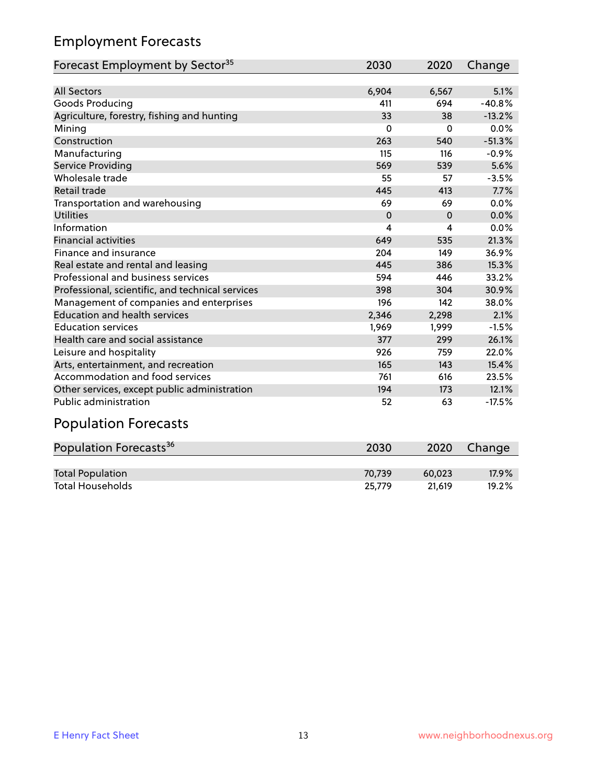## Employment Forecasts

| Forecast Employment by Sector <sup>35</sup>      | 2030     | 2020     | Change   |
|--------------------------------------------------|----------|----------|----------|
|                                                  |          |          |          |
| <b>All Sectors</b>                               | 6,904    | 6,567    | 5.1%     |
| Goods Producing                                  | 411      | 694      | $-40.8%$ |
| Agriculture, forestry, fishing and hunting       | 33       | 38       | $-13.2%$ |
| Mining                                           | $\Omega$ | $\Omega$ | 0.0%     |
| Construction                                     | 263      | 540      | $-51.3%$ |
| Manufacturing                                    | 115      | 116      | $-0.9%$  |
| Service Providing                                | 569      | 539      | 5.6%     |
| Wholesale trade                                  | 55       | 57       | $-3.5%$  |
| Retail trade                                     | 445      | 413      | 7.7%     |
| Transportation and warehousing                   | 69       | 69       | 0.0%     |
| <b>Utilities</b>                                 | $\Omega$ | $\Omega$ | 0.0%     |
| Information                                      | 4        | 4        | 0.0%     |
| <b>Financial activities</b>                      | 649      | 535      | 21.3%    |
| Finance and insurance                            | 204      | 149      | 36.9%    |
| Real estate and rental and leasing               | 445      | 386      | 15.3%    |
| Professional and business services               | 594      | 446      | 33.2%    |
| Professional, scientific, and technical services | 398      | 304      | 30.9%    |
| Management of companies and enterprises          | 196      | 142      | 38.0%    |
| <b>Education and health services</b>             | 2,346    | 2,298    | 2.1%     |
| <b>Education services</b>                        | 1,969    | 1,999    | $-1.5%$  |
| Health care and social assistance                | 377      | 299      | 26.1%    |
| Leisure and hospitality                          | 926      | 759      | 22.0%    |
| Arts, entertainment, and recreation              | 165      | 143      | 15.4%    |
| Accommodation and food services                  | 761      | 616      | 23.5%    |
| Other services, except public administration     | 194      | 173      | 12.1%    |
| <b>Public administration</b>                     | 52       | 63       | $-17.5%$ |
|                                                  |          |          |          |

#### Population Forecasts

| Population Forecasts <sup>36</sup> | 2030   | 2020   | Change   |
|------------------------------------|--------|--------|----------|
|                                    |        |        |          |
| <b>Total Population</b>            | 70.739 | 60.023 | $17.9\%$ |
| <b>Total Households</b>            | 25.779 | 21.619 | 19.2%    |